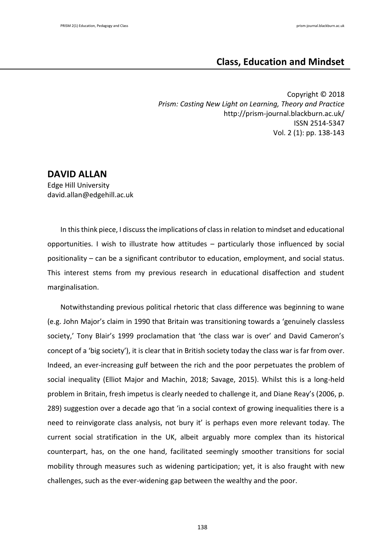# **Class, Education and Mindset**

Copyright © 2018 *Prism: Casting New Light on Learning, Theory and Practice* http://prism-journal.blackburn.ac.uk/ ISSN 2514-5347 Vol. 2 (1): pp. 138-143

## **DAVID ALLAN**

Edge Hill University david.allan@edgehill.ac.uk

In this think piece, I discuss the implications of class in relation to mindset and educational opportunities. I wish to illustrate how attitudes – particularly those influenced by social positionality – can be a significant contributor to education, employment, and social status. This interest stems from my previous research in educational disaffection and student marginalisation.

Notwithstanding previous political rhetoric that class difference was beginning to wane (e.g. John Major's claim in 1990 that Britain was transitioning towards a 'genuinely classless society,' Tony Blair's 1999 proclamation that 'the class war is over' and David Cameron's concept of a 'big society'), it is clear that in British society today the class war is far from over. Indeed, an ever-increasing gulf between the rich and the poor perpetuates the problem of social inequality (Elliot Major and Machin, 2018; Savage, 2015). Whilst this is a long-held problem in Britain, fresh impetus is clearly needed to challenge it, and Diane Reay's (2006, p. 289) suggestion over a decade ago that 'in a social context of growing inequalities there is a need to reinvigorate class analysis, not bury it' is perhaps even more relevant today. The current social stratification in the UK, albeit arguably more complex than its historical counterpart, has, on the one hand, facilitated seemingly smoother transitions for social mobility through measures such as widening participation; yet, it is also fraught with new challenges, such as the ever-widening gap between the wealthy and the poor.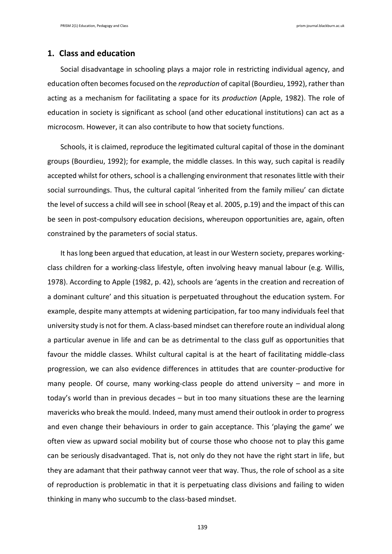#### **1. Class and education**

Social disadvantage in schooling plays a major role in restricting individual agency, and education often becomes focused on the *reproduction* of capital (Bourdieu, 1992), rather than acting as a mechanism for facilitating a space for its *production* (Apple, 1982). The role of education in society is significant as school (and other educational institutions) can act as a microcosm. However, it can also contribute to how that society functions.

Schools, it is claimed, reproduce the legitimated cultural capital of those in the dominant groups (Bourdieu, 1992); for example, the middle classes. In this way, such capital is readily accepted whilst for others, school is a challenging environment that resonates little with their social surroundings. Thus, the cultural capital 'inherited from the family milieu' can dictate the level of success a child will see in school (Reay et al. 2005, p.19) and the impact of this can be seen in post-compulsory education decisions, whereupon opportunities are, again, often constrained by the parameters of social status.

It has long been argued that education, at least in our Western society, prepares workingclass children for a working-class lifestyle, often involving heavy manual labour (e.g. Willis, 1978). According to Apple (1982, p. 42), schools are 'agents in the creation and recreation of a dominant culture' and this situation is perpetuated throughout the education system. For example, despite many attempts at widening participation, far too many individuals feel that university study is not for them. A class-based mindset can therefore route an individual along a particular avenue in life and can be as detrimental to the class gulf as opportunities that favour the middle classes. Whilst cultural capital is at the heart of facilitating middle-class progression, we can also evidence differences in attitudes that are counter-productive for many people. Of course, many working-class people do attend university – and more in today's world than in previous decades – but in too many situations these are the learning mavericks who break the mould. Indeed, many must amend their outlook in order to progress and even change their behaviours in order to gain acceptance. This 'playing the game' we often view as upward social mobility but of course those who choose not to play this game can be seriously disadvantaged. That is, not only do they not have the right start in life, but they are adamant that their pathway cannot veer that way. Thus, the role of school as a site of reproduction is problematic in that it is perpetuating class divisions and failing to widen thinking in many who succumb to the class-based mindset.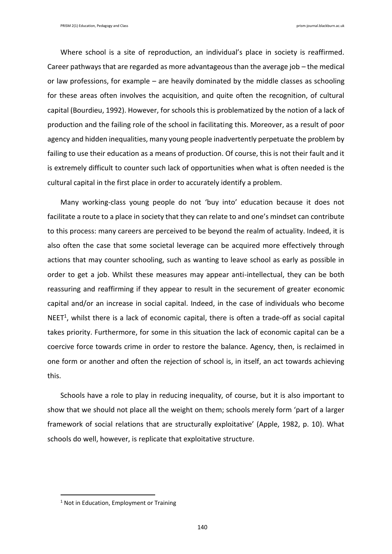Where school is a site of reproduction, an individual's place in society is reaffirmed. Career pathways that are regarded as more advantageous than the average job – the medical or law professions, for example – are heavily dominated by the middle classes as schooling for these areas often involves the acquisition, and quite often the recognition, of cultural capital (Bourdieu, 1992). However, for schools this is problematized by the notion of a lack of production and the failing role of the school in facilitating this. Moreover, as a result of poor agency and hidden inequalities, many young people inadvertently perpetuate the problem by failing to use their education as a means of production. Of course, this is not their fault and it is extremely difficult to counter such lack of opportunities when what is often needed is the cultural capital in the first place in order to accurately identify a problem.

Many working-class young people do not 'buy into' education because it does not facilitate a route to a place in society that they can relate to and one's mindset can contribute to this process: many careers are perceived to be beyond the realm of actuality. Indeed, it is also often the case that some societal leverage can be acquired more effectively through actions that may counter schooling, such as wanting to leave school as early as possible in order to get a job. Whilst these measures may appear anti-intellectual, they can be both reassuring and reaffirming if they appear to result in the securement of greater economic capital and/or an increase in social capital. Indeed, in the case of individuals who become NEET<sup>1</sup>, whilst there is a lack of economic capital, there is often a trade-off as social capital takes priority. Furthermore, for some in this situation the lack of economic capital can be a coercive force towards crime in order to restore the balance. Agency, then, is reclaimed in one form or another and often the rejection of school is, in itself, an act towards achieving this.

Schools have a role to play in reducing inequality, of course, but it is also important to show that we should not place all the weight on them; schools merely form 'part of a larger framework of social relations that are structurally exploitative' (Apple, 1982, p. 10). What schools do well, however, is replicate that exploitative structure.

<u>.</u>

 $1$  Not in Education, Employment or Training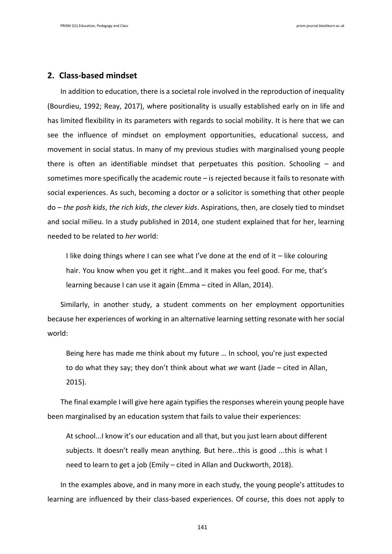### **2. Class-based mindset**

In addition to education, there is a societal role involved in the reproduction of inequality (Bourdieu, 1992; Reay, 2017), where positionality is usually established early on in life and has limited flexibility in its parameters with regards to social mobility. It is here that we can see the influence of mindset on employment opportunities, educational success, and movement in social status. In many of my previous studies with marginalised young people there is often an identifiable mindset that perpetuates this position. Schooling – and sometimes more specifically the academic route – is rejected because it fails to resonate with social experiences. As such, becoming a doctor or a solicitor is something that other people do – *the posh kids*, *the rich kids*, *the clever kids*. Aspirations, then, are closely tied to mindset and social milieu. In a study published in 2014, one student explained that for her, learning needed to be related to *her* world:

I like doing things where I can see what I've done at the end of it - like colouring hair. You know when you get it right…and it makes you feel good. For me, that's learning because I can use it again (Emma – cited in Allan, 2014).

Similarly, in another study, a student comments on her employment opportunities because her experiences of working in an alternative learning setting resonate with her social world:

Being here has made me think about my future … In school, you're just expected to do what they say; they don't think about what *we* want (Jade – cited in Allan, 2015).

The final example I will give here again typifies the responses wherein young people have been marginalised by an education system that fails to value their experiences:

At school...I know it's our education and all that, but you just learn about different subjects. It doesn't really mean anything. But here...this is good ...this is what I need to learn to get a job (Emily – cited in Allan and Duckworth, 2018).

In the examples above, and in many more in each study, the young people's attitudes to learning are influenced by their class-based experiences. Of course, this does not apply to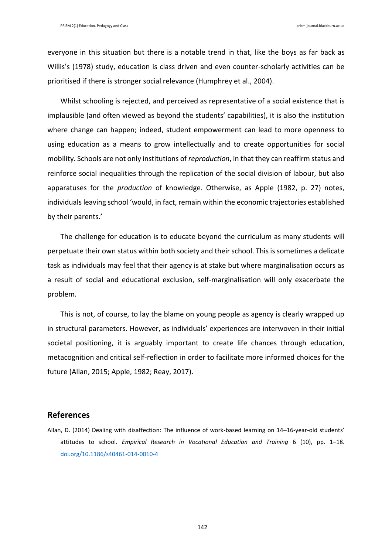everyone in this situation but there is a notable trend in that, like the boys as far back as Willis's (1978) study, education is class driven and even counter-scholarly activities can be prioritised if there is stronger social relevance (Humphrey et al., 2004).

Whilst schooling is rejected, and perceived as representative of a social existence that is implausible (and often viewed as beyond the students' capabilities), it is also the institution where change can happen; indeed, student empowerment can lead to more openness to using education as a means to grow intellectually and to create opportunities for social mobility. Schools are not only institutions of *reproduction*, in that they can reaffirm status and reinforce social inequalities through the replication of the social division of labour, but also apparatuses for the *production* of knowledge. Otherwise, as Apple (1982, p. 27) notes, individuals leaving school 'would, in fact, remain within the economic trajectories established by their parents.'

The challenge for education is to educate beyond the curriculum as many students will perpetuate their own status within both society and their school. This is sometimes a delicate task as individuals may feel that their agency is at stake but where marginalisation occurs as a result of social and educational exclusion, self-marginalisation will only exacerbate the problem.

This is not, of course, to lay the blame on young people as agency is clearly wrapped up in structural parameters. However, as individuals' experiences are interwoven in their initial societal positioning, it is arguably important to create life chances through education, metacognition and critical self-reflection in order to facilitate more informed choices for the future (Allan, 2015; Apple, 1982; Reay, 2017).

## **References**

Allan, D. (2014) Dealing with disaffection: The influence of work-based learning on 14–16-year-old students' attitudes to school. *Empirical Research in Vocational Education and Training* 6 (10), pp. 1–18. [doi.org/10.1186/s40461-014-0010-4](https://doi.org/10.1186/s40461-014-0010-4)